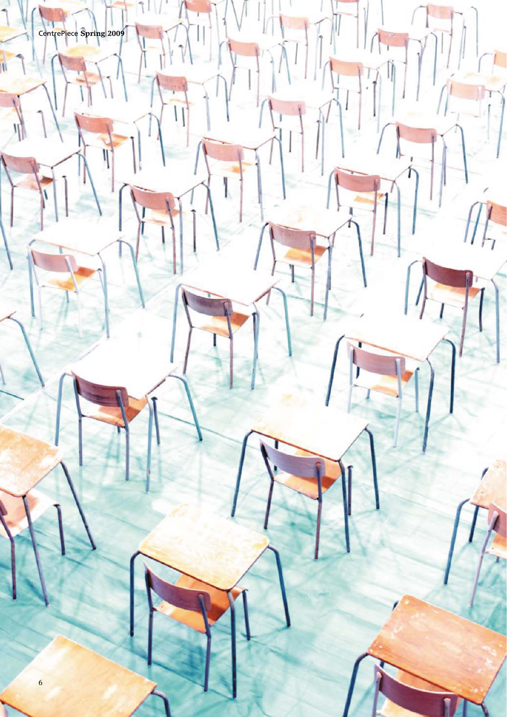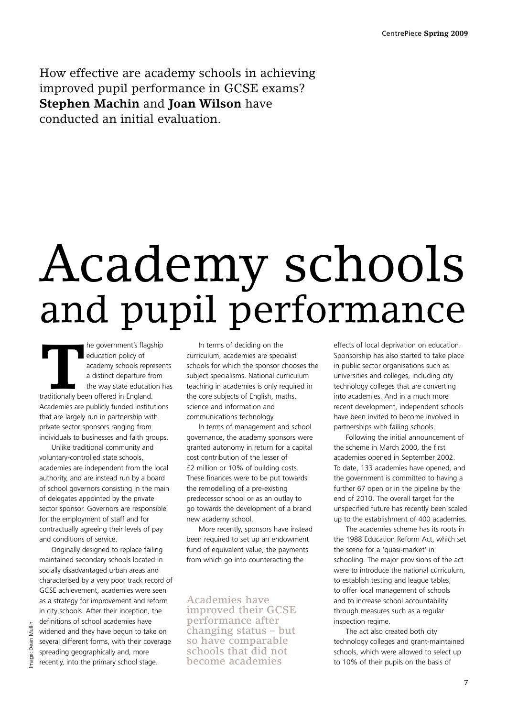How effective are academy schools in achieving improved pupil performance in GCSE exams? **Stephen Machin** and **Joan Wilson** have conducted an initial evaluation.

## Academy schools and pupil performance

**THE GENETITY STATES FOR A SERVERTIES FLAGGED A distinct departure from the way state education Intraditionally been offered in England.** education policy of academy schools represents a distinct departure from the way state education has Academies are publicly funded institutions that are largely run in partnership with private sector sponsors ranging from individuals to businesses and faith groups.

Unlike traditional community and voluntary-controlled state schools, academies are independent from the local authority, and are instead run by a board of school governors consisting in the main of delegates appointed by the private sector sponsor. Governors are responsible for the employment of staff and for contractually agreeing their levels of pay and conditions of service.

Originally designed to replace failing maintained secondary schools located in socially disadvantaged urban areas and characterised by a very poor track record of GCSE achievement, academies were seen as a strategy for improvement and reform in city schools. After their inception, the definitions of school academies have widened and they have begun to take on several different forms, with their coverage spreading geographically and, more recently, into the primary school stage.

In terms of deciding on the curriculum, academies are specialist schools for which the sponsor chooses the subject specialisms. National curriculum teaching in academies is only required in the core subjects of English, maths, science and information and communications technology.

In terms of management and school governance, the academy sponsors were granted autonomy in return for a capital cost contribution of the lesser of £2 million or 10% of building costs. These finances were to be put towards the remodelling of a pre-existing predecessor school or as an outlay to go towards the development of a brand new academy school.

More recently, sponsors have instead been required to set up an endowment fund of equivalent value, the payments from which go into counteracting the

## Academies have improved their GCSE performance after changing status – but so have comparable schools that did not become academies

effects of local deprivation on education. Sponsorship has also started to take place in public sector organisations such as universities and colleges, including city technology colleges that are converting into academies. And in a much more recent development, independent schools have been invited to become involved in partnerships with failing schools.

Following the initial announcement of the scheme in March 2000, the first academies opened in September 2002. To date, 133 academies have opened, and the government is committed to having a further 67 open or in the pipeline by the end of 2010. The overall target for the unspecified future has recently been scaled up to the establishment of 400 academies.

The academies scheme has its roots in the 1988 Education Reform Act, which set the scene for a 'quasi-market' in schooling. The major provisions of the act were to introduce the national curriculum, to establish testing and league tables, to offer local management of schools and to increase school accountability through measures such as a regular inspection regime.

The act also created both city technology colleges and grant-maintained schools, which were allowed to select up to 10% of their pupils on the basis of